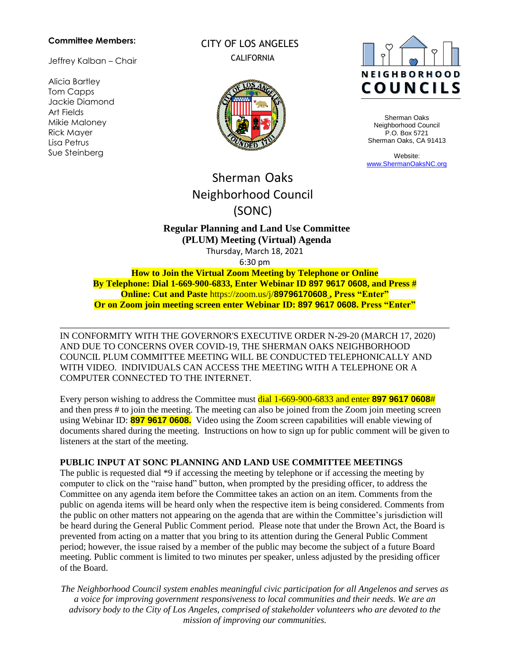#### **Committee Members:**

Jeffrey Kalban – Chair

Alicia Bartley Tom Capps Jackie Diamond Art Fields Mikie Maloney Rick Mayer Lisa Petrus Sue Steinberg

CITY OF LOS ANGELES **CALIFORNIA** 





Sherman Oaks Neighborhood Council P.O. Box 5721 Sherman Oaks, CA 91413

Website: [www.ShermanOaksNC.org](http://www.shermanoaksnc.org/)

# Sherman Oaks Neighborhood Council (SONC)

## **Regular Planning and Land Use Committee (PLUM) Meeting (Virtual) Agenda**

Thursday, March 18, 2021

6:30 pm

**How to Join the Virtual Zoom Meeting by Telephone or Online By Telephone: Dial 1-669-900-6833, Enter Webinar ID 897 9617 0608, and Press # Online: Cut and Paste** https://zoom.us/j/**89796170608 [,](https://zoom.us/j/949%2009036906) Press "Enter" Or on Zoom join meeting screen enter Webinar ID: 897 9617 0608. Press "Enter"**

IN CONFORMITY WITH THE GOVERNOR'S EXECUTIVE ORDER N-29-20 (MARCH 17, 2020) AND DUE TO CONCERNS OVER COVID-19, THE SHERMAN OAKS NEIGHBORHOOD COUNCIL PLUM COMMITTEE MEETING WILL BE CONDUCTED TELEPHONICALLY AND WITH VIDEO. INDIVIDUALS CAN ACCESS THE MEETING WITH A TELEPHONE OR A COMPUTER CONNECTED TO THE INTERNET.

Every person wishing to address the Committee must dial 1-669-900-6833 and enter **897 9617 0608**# and then press # to join the meeting. The meeting can also be joined from the Zoom join meeting screen using Webinar ID: **897 9617 0608.** Video using the Zoom screen capabilities will enable viewing of documents shared during the meeting. Instructions on how to sign up for public comment will be given to listeners at the start of the meeting.

#### **PUBLIC INPUT AT SONC PLANNING AND LAND USE COMMITTEE MEETINGS**

The public is requested dial \*9 if accessing the meeting by telephone or if accessing the meeting by computer to click on the "raise hand" button, when prompted by the presiding officer, to address the Committee on any agenda item before the Committee takes an action on an item. Comments from the public on agenda items will be heard only when the respective item is being considered. Comments from the public on other matters not appearing on the agenda that are within the Committee's jurisdiction will be heard during the General Public Comment period. Please note that under the Brown Act, the Board is prevented from acting on a matter that you bring to its attention during the General Public Comment period; however, the issue raised by a member of the public may become the subject of a future Board meeting. Public comment is limited to two minutes per speaker, unless adjusted by the presiding officer of the Board.

*The Neighborhood Council system enables meaningful civic participation for all Angelenos and serves as a voice for improving government responsiveness to local communities and their needs. We are an advisory body to the City of Los Angeles, comprised of stakeholder volunteers who are devoted to the mission of improving our communities.*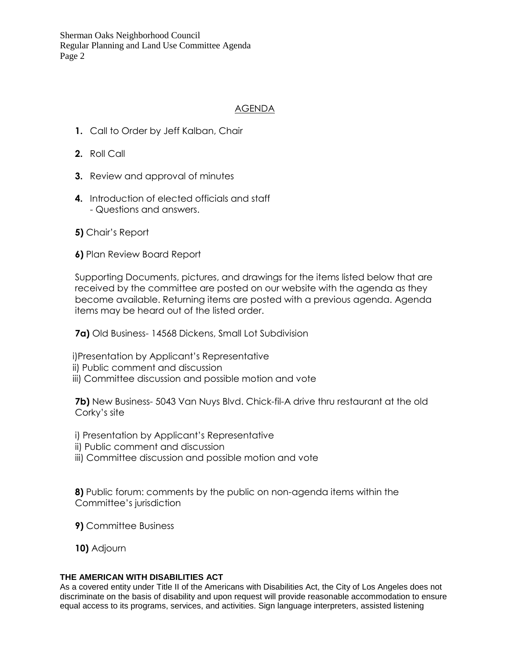Sherman Oaks Neighborhood Council Regular Planning and Land Use Committee Agenda Page 2

### AGENDA

- **1.** Call to Order by Jeff Kalban, Chair
- **2.** Roll Call
- **3.** Review and approval of minutes
- **4.** Introduction of elected officials and staff - Questions and answers.
- **5)** Chair's Report
- **6)** Plan Review Board Report

Supporting Documents, pictures, and drawings for the items listed below that are received by the committee are posted on our website with the agenda as they become available. Returning items are posted with a previous agenda. Agenda items may be heard out of the listed order.

**7a)** Old Business- 14568 Dickens, Small Lot Subdivision

 i)Presentation by Applicant's Representative ii) Public comment and discussion iii) Committee discussion and possible motion and vote

**7b)** New Business- 5043 Van Nuys Blvd. Chick-fil-A drive thru restaurant at the old Corky's site

- i) Presentation by Applicant's Representative
- ii) Public comment and discussion
- iii) Committee discussion and possible motion and vote

**8)** Public forum: comments by the public on non-agenda items within the Committee's jurisdiction

**9)** Committee Business

**10)** Adjourn

#### **THE AMERICAN WITH DISABILITIES ACT**

As a covered entity under Title II of the Americans with Disabilities Act, the City of Los Angeles does not discriminate on the basis of disability and upon request will provide reasonable accommodation to ensure equal access to its programs, services, and activities. Sign language interpreters, assisted listening